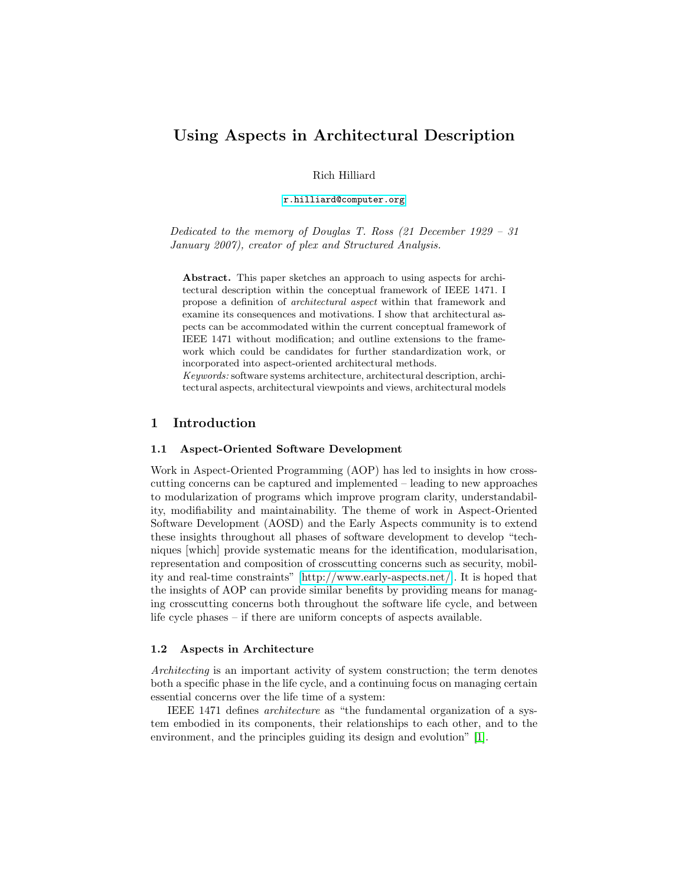# Using Aspects in Architectural Description

Rich Hilliard

[r.hilliard@computer.org](mailto:r.hilliard@computer.org)

Dedicated to the memory of Douglas T. Ross (21 December 1929 – 31 January 2007), creator of plex and Structured Analysis.

Abstract. This paper sketches an approach to using aspects for architectural description within the conceptual framework of IEEE 1471. I propose a definition of architectural aspect within that framework and examine its consequences and motivations. I show that architectural aspects can be accommodated within the current conceptual framework of IEEE 1471 without modification; and outline extensions to the framework which could be candidates for further standardization work, or incorporated into aspect-oriented architectural methods.

Keywords: software systems architecture, architectural description, architectural aspects, architectural viewpoints and views, architectural models

# 1 Introduction

#### 1.1 Aspect-Oriented Software Development

Work in Aspect-Oriented Programming (AOP) has led to insights in how crosscutting concerns can be captured and implemented – leading to new approaches to modularization of programs which improve program clarity, understandability, modifiability and maintainability. The theme of work in Aspect-Oriented Software Development (AOSD) and the Early Aspects community is to extend these insights throughout all phases of software development to develop "techniques [which] provide systematic means for the identification, modularisation, representation and composition of crosscutting concerns such as security, mobility and real-time constraints" [\[http://www.early-aspects.net/\]](http://www.early-aspects.net/). It is hoped that the insights of AOP can provide similar benefits by providing means for managing crosscutting concerns both throughout the software life cycle, and between life cycle phases – if there are uniform concepts of aspects available.

#### 1.2 Aspects in Architecture

Architecting is an important activity of system construction; the term denotes both a specific phase in the life cycle, and a continuing focus on managing certain essential concerns over the life time of a system:

IEEE 1471 defines architecture as "the fundamental organization of a system embodied in its components, their relationships to each other, and to the environment, and the principles guiding its design and evolution" [\[1\]](#page-14-0).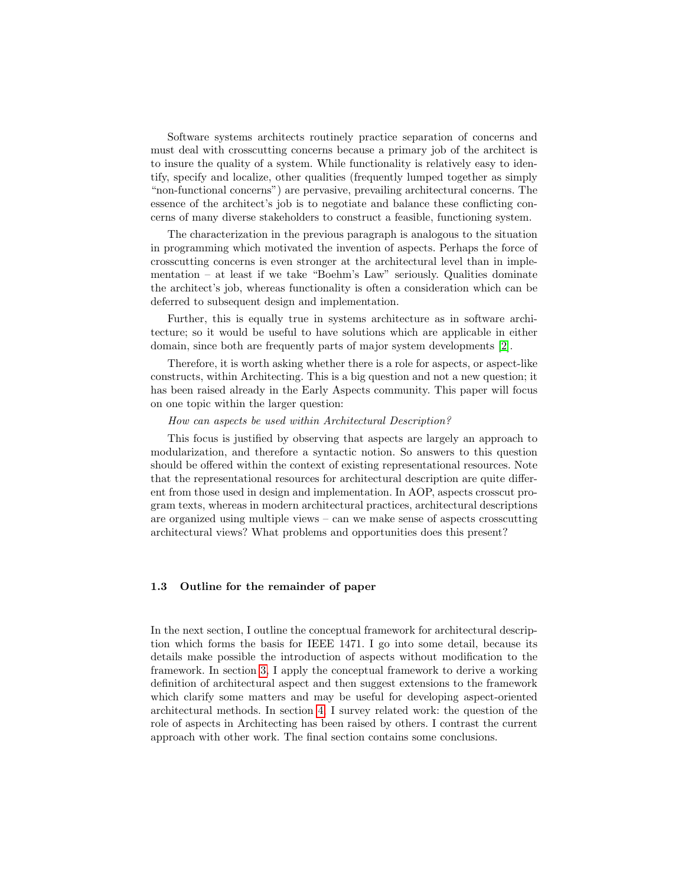Software systems architects routinely practice separation of concerns and must deal with crosscutting concerns because a primary job of the architect is to insure the quality of a system. While functionality is relatively easy to identify, specify and localize, other qualities (frequently lumped together as simply "non-functional concerns") are pervasive, prevailing architectural concerns. The essence of the architect's job is to negotiate and balance these conflicting concerns of many diverse stakeholders to construct a feasible, functioning system.

The characterization in the previous paragraph is analogous to the situation in programming which motivated the invention of aspects. Perhaps the force of crosscutting concerns is even stronger at the architectural level than in implementation – at least if we take "Boehm's Law" seriously. Qualities dominate the architect's job, whereas functionality is often a consideration which can be deferred to subsequent design and implementation.

Further, this is equally true in systems architecture as in software architecture; so it would be useful to have solutions which are applicable in either domain, since both are frequently parts of major system developments [\[2\]](#page-14-1).

Therefore, it is worth asking whether there is a role for aspects, or aspect-like constructs, within Architecting. This is a big question and not a new question; it has been raised already in the Early Aspects community. This paper will focus on one topic within the larger question:

#### How can aspects be used within Architectural Description?

This focus is justified by observing that aspects are largely an approach to modularization, and therefore a syntactic notion. So answers to this question should be offered within the context of existing representational resources. Note that the representational resources for architectural description are quite different from those used in design and implementation. In AOP, aspects crosscut program texts, whereas in modern architectural practices, architectural descriptions are organized using multiple views – can we make sense of aspects crosscutting architectural views? What problems and opportunities does this present?

#### 1.3 Outline for the remainder of paper

In the next section, I outline the conceptual framework for architectural description which forms the basis for IEEE 1471. I go into some detail, because its details make possible the introduction of aspects without modification to the framework. In section [3,](#page-6-0) I apply the conceptual framework to derive a working definition of architectural aspect and then suggest extensions to the framework which clarify some matters and may be useful for developing aspect-oriented architectural methods. In section [4,](#page-11-0) I survey related work: the question of the role of aspects in Architecting has been raised by others. I contrast the current approach with other work. The final section contains some conclusions.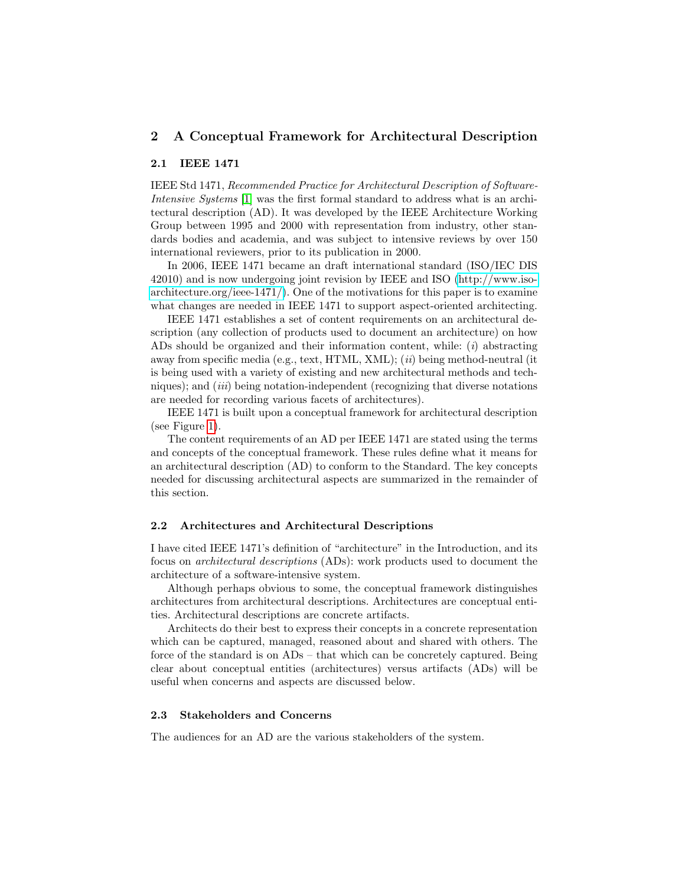# <span id="page-2-0"></span>2 A Conceptual Framework for Architectural Description

#### 2.1 IEEE 1471

IEEE Std 1471, Recommended Practice for Architectural Description of Software-Intensive Systems [\[1\]](#page-14-0) was the first formal standard to address what is an architectural description (AD). It was developed by the IEEE Architecture Working Group between 1995 and 2000 with representation from industry, other standards bodies and academia, and was subject to intensive reviews by over 150 international reviewers, prior to its publication in 2000.

In 2006, IEEE 1471 became an draft international standard (ISO/IEC DIS 42010) and is now undergoing joint revision by IEEE and ISO [\(http://www.iso](http://www.iso-architecture.org/ieee-1471/)[architecture.org/ieee-1471/\)](http://www.iso-architecture.org/ieee-1471/). One of the motivations for this paper is to examine what changes are needed in IEEE 1471 to support aspect-oriented architecting.

IEEE 1471 establishes a set of content requirements on an architectural description (any collection of products used to document an architecture) on how ADs should be organized and their information content, while:  $(i)$  abstracting away from specific media (e.g., text, HTML, XML); (ii) being method-neutral (it is being used with a variety of existing and new architectural methods and techniques); and  $(iii)$  being notation-independent (recognizing that diverse notations are needed for recording various facets of architectures).

IEEE 1471 is built upon a conceptual framework for architectural description (see Figure [1\)](#page-3-0).

The content requirements of an AD per IEEE 1471 are stated using the terms and concepts of the conceptual framework. These rules define what it means for an architectural description (AD) to conform to the Standard. The key concepts needed for discussing architectural aspects are summarized in the remainder of this section.

#### 2.2 Architectures and Architectural Descriptions

I have cited IEEE 1471's definition of "architecture" in the Introduction, and its focus on architectural descriptions (ADs): work products used to document the architecture of a software-intensive system.

Although perhaps obvious to some, the conceptual framework distinguishes architectures from architectural descriptions. Architectures are conceptual entities. Architectural descriptions are concrete artifacts.

Architects do their best to express their concepts in a concrete representation which can be captured, managed, reasoned about and shared with others. The force of the standard is on ADs – that which can be concretely captured. Being clear about conceptual entities (architectures) versus artifacts (ADs) will be useful when concerns and aspects are discussed below.

#### 2.3 Stakeholders and Concerns

The audiences for an AD are the various stakeholders of the system.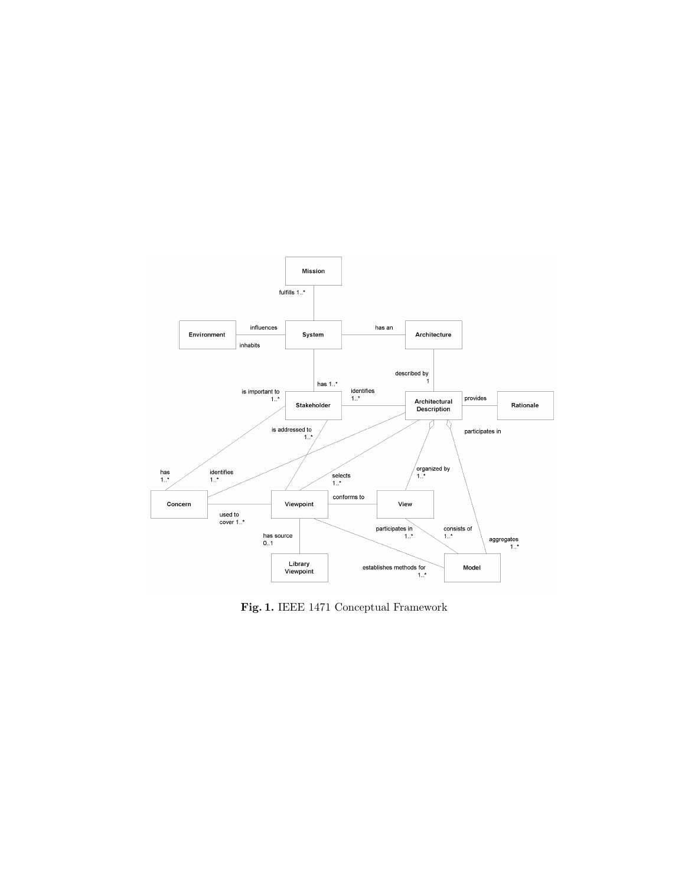

<span id="page-3-0"></span>Fig. 1. IEEE 1471 Conceptual Framework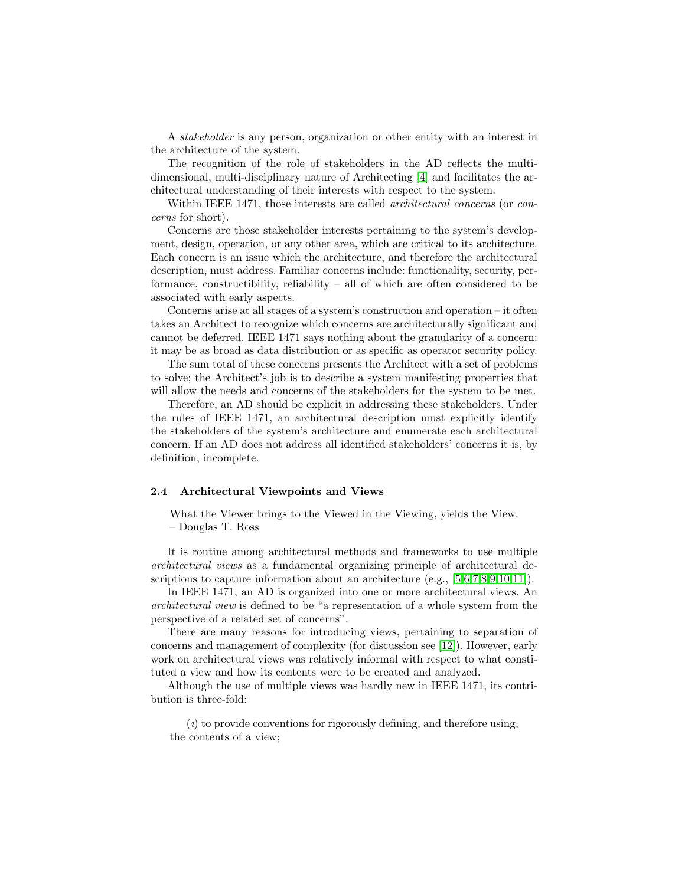A stakeholder is any person, organization or other entity with an interest in the architecture of the system.

The recognition of the role of stakeholders in the AD reflects the multidimensional, multi-disciplinary nature of Architecting [\[4\]](#page-14-2) and facilitates the architectural understanding of their interests with respect to the system.

Within IEEE 1471, those interests are called *architectural concerns* (or *con*cerns for short).

Concerns are those stakeholder interests pertaining to the system's development, design, operation, or any other area, which are critical to its architecture. Each concern is an issue which the architecture, and therefore the architectural description, must address. Familiar concerns include: functionality, security, performance, constructibility, reliability – all of which are often considered to be associated with early aspects.

Concerns arise at all stages of a system's construction and operation – it often takes an Architect to recognize which concerns are architecturally significant and cannot be deferred. IEEE 1471 says nothing about the granularity of a concern: it may be as broad as data distribution or as specific as operator security policy.

The sum total of these concerns presents the Architect with a set of problems to solve; the Architect's job is to describe a system manifesting properties that will allow the needs and concerns of the stakeholders for the system to be met.

Therefore, an AD should be explicit in addressing these stakeholders. Under the rules of IEEE 1471, an architectural description must explicitly identify the stakeholders of the system's architecture and enumerate each architectural concern. If an AD does not address all identified stakeholders' concerns it is, by definition, incomplete.

#### 2.4 Architectural Viewpoints and Views

What the Viewer brings to the Viewed in the Viewing, yields the View. – Douglas T. Ross

It is routine among architectural methods and frameworks to use multiple architectural views as a fundamental organizing principle of architectural de-scriptions to capture information about an architecture (e.g., [\[5,](#page-15-0)[6,](#page-15-1)[7,](#page-15-2)[8](#page-15-3)[,9,](#page-15-4)[10,](#page-15-5)[11\]](#page-15-6)).

In IEEE 1471, an AD is organized into one or more architectural views. An architectural view is defined to be "a representation of a whole system from the perspective of a related set of concerns".

There are many reasons for introducing views, pertaining to separation of concerns and management of complexity (for discussion see [\[12\]](#page-15-7)). However, early work on architectural views was relatively informal with respect to what constituted a view and how its contents were to be created and analyzed.

Although the use of multiple views was hardly new in IEEE 1471, its contribution is three-fold:

 $(i)$  to provide conventions for rigorously defining, and therefore using, the contents of a view;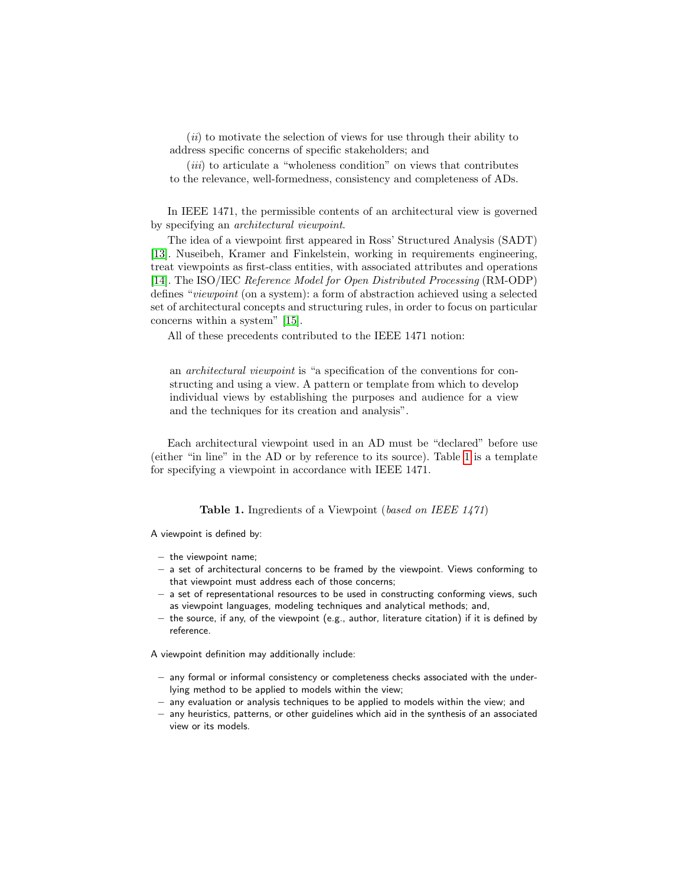$(ii)$  to motivate the selection of views for use through their ability to address specific concerns of specific stakeholders; and

 $(iii)$  to articulate a "wholeness condition" on views that contributes to the relevance, well-formedness, consistency and completeness of ADs.

In IEEE 1471, the permissible contents of an architectural view is governed by specifying an architectural viewpoint.

The idea of a viewpoint first appeared in Ross' Structured Analysis (SADT) [\[13\]](#page-15-8). Nuseibeh, Kramer and Finkelstein, working in requirements engineering, treat viewpoints as first-class entities, with associated attributes and operations [\[14\]](#page-15-9). The ISO/IEC Reference Model for Open Distributed Processing (RM-ODP) defines "viewpoint (on a system): a form of abstraction achieved using a selected set of architectural concepts and structuring rules, in order to focus on particular concerns within a system" [\[15\]](#page-15-10).

All of these precedents contributed to the IEEE 1471 notion:

an architectural viewpoint is "a specification of the conventions for constructing and using a view. A pattern or template from which to develop individual views by establishing the purposes and audience for a view and the techniques for its creation and analysis".

Each architectural viewpoint used in an AD must be "declared" before use (either "in line" in the AD or by reference to its source). Table [1](#page-5-0) is a template for specifying a viewpoint in accordance with IEEE 1471.

<span id="page-5-0"></span>Table 1. Ingredients of a Viewpoint (based on IEEE 1471)

A viewpoint is defined by:

- the viewpoint name;
- a set of architectural concerns to be framed by the viewpoint. Views conforming to that viewpoint must address each of those concerns;
- a set of representational resources to be used in constructing conforming views, such as viewpoint languages, modeling techniques and analytical methods; and,
- the source, if any, of the viewpoint (e.g., author, literature citation) if it is defined by reference.

A viewpoint definition may additionally include:

- any formal or informal consistency or completeness checks associated with the underlying method to be applied to models within the view;
- any evaluation or analysis techniques to be applied to models within the view; and
- any heuristics, patterns, or other guidelines which aid in the synthesis of an associated view or its models.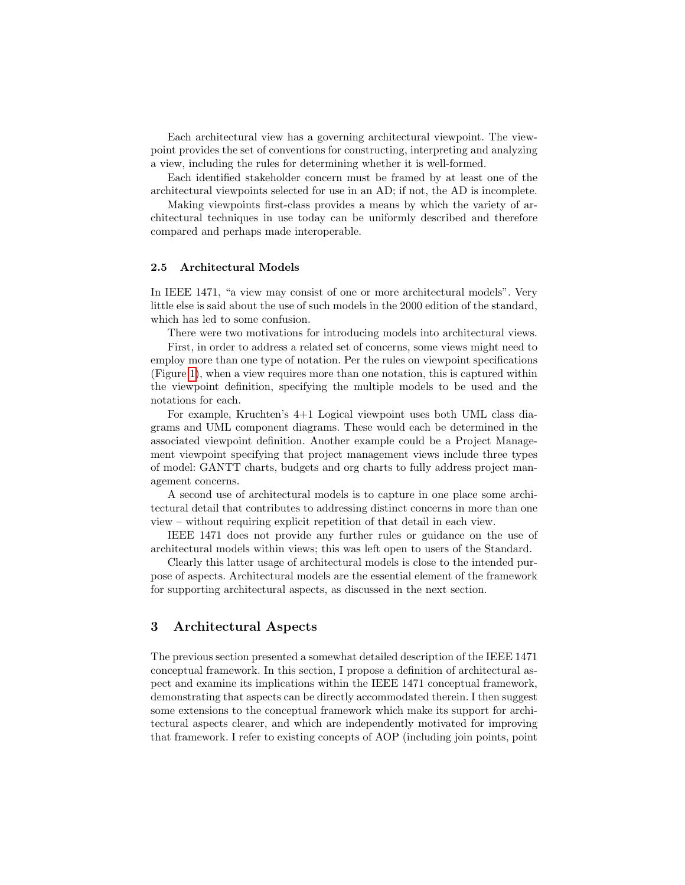Each architectural view has a governing architectural viewpoint. The viewpoint provides the set of conventions for constructing, interpreting and analyzing a view, including the rules for determining whether it is well-formed.

Each identified stakeholder concern must be framed by at least one of the architectural viewpoints selected for use in an AD; if not, the AD is incomplete.

Making viewpoints first-class provides a means by which the variety of architectural techniques in use today can be uniformly described and therefore compared and perhaps made interoperable.

#### 2.5 Architectural Models

In IEEE 1471, "a view may consist of one or more architectural models". Very little else is said about the use of such models in the 2000 edition of the standard, which has led to some confusion.

There were two motivations for introducing models into architectural views.

First, in order to address a related set of concerns, some views might need to employ more than one type of notation. Per the rules on viewpoint specifications (Figure [1\)](#page-5-0), when a view requires more than one notation, this is captured within the viewpoint definition, specifying the multiple models to be used and the notations for each.

For example, Kruchten's 4+1 Logical viewpoint uses both UML class diagrams and UML component diagrams. These would each be determined in the associated viewpoint definition. Another example could be a Project Management viewpoint specifying that project management views include three types of model: GANTT charts, budgets and org charts to fully address project management concerns.

A second use of architectural models is to capture in one place some architectural detail that contributes to addressing distinct concerns in more than one view – without requiring explicit repetition of that detail in each view.

IEEE 1471 does not provide any further rules or guidance on the use of architectural models within views; this was left open to users of the Standard.

Clearly this latter usage of architectural models is close to the intended purpose of aspects. Architectural models are the essential element of the framework for supporting architectural aspects, as discussed in the next section.

# <span id="page-6-0"></span>3 Architectural Aspects

The previous section presented a somewhat detailed description of the IEEE 1471 conceptual framework. In this section, I propose a definition of architectural aspect and examine its implications within the IEEE 1471 conceptual framework, demonstrating that aspects can be directly accommodated therein. I then suggest some extensions to the conceptual framework which make its support for architectural aspects clearer, and which are independently motivated for improving that framework. I refer to existing concepts of AOP (including join points, point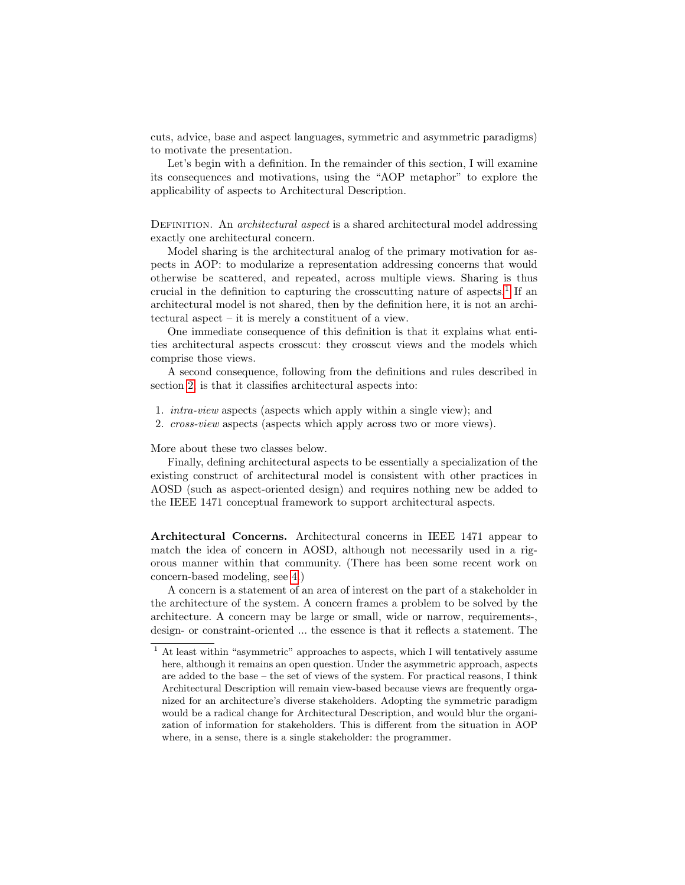cuts, advice, base and aspect languages, symmetric and asymmetric paradigms) to motivate the presentation.

Let's begin with a definition. In the remainder of this section, I will examine its consequences and motivations, using the "AOP metaphor" to explore the applicability of aspects to Architectural Description.

DEFINITION. An *architectural aspect* is a shared architectural model addressing exactly one architectural concern.

Model sharing is the architectural analog of the primary motivation for aspects in AOP: to modularize a representation addressing concerns that would otherwise be scattered, and repeated, across multiple views. Sharing is thus crucial in the definition to capturing the crosscutting nature of aspects.<sup>[1](#page-7-0)</sup> If an architectural model is not shared, then by the definition here, it is not an architectural aspect – it is merely a constituent of a view.

One immediate consequence of this definition is that it explains what entities architectural aspects crosscut: they crosscut views and the models which comprise those views.

A second consequence, following from the definitions and rules described in section [2,](#page-2-0) is that it classifies architectural aspects into:

- 1. intra-view aspects (aspects which apply within a single view); and
- 2. cross-view aspects (aspects which apply across two or more views).

More about these two classes below.

Finally, defining architectural aspects to be essentially a specialization of the existing construct of architectural model is consistent with other practices in AOSD (such as aspect-oriented design) and requires nothing new be added to the IEEE 1471 conceptual framework to support architectural aspects.

Architectural Concerns. Architectural concerns in IEEE 1471 appear to match the idea of concern in AOSD, although not necessarily used in a rigorous manner within that community. (There has been some recent work on concern-based modeling, see [4.](#page-11-0))

A concern is a statement of an area of interest on the part of a stakeholder in the architecture of the system. A concern frames a problem to be solved by the architecture. A concern may be large or small, wide or narrow, requirements-, design- or constraint-oriented ... the essence is that it reflects a statement. The

<span id="page-7-0"></span><sup>&</sup>lt;sup>1</sup> At least within "asymmetric" approaches to aspects, which I will tentatively assume here, although it remains an open question. Under the asymmetric approach, aspects are added to the base – the set of views of the system. For practical reasons, I think Architectural Description will remain view-based because views are frequently organized for an architecture's diverse stakeholders. Adopting the symmetric paradigm would be a radical change for Architectural Description, and would blur the organization of information for stakeholders. This is different from the situation in AOP where, in a sense, there is a single stakeholder: the programmer.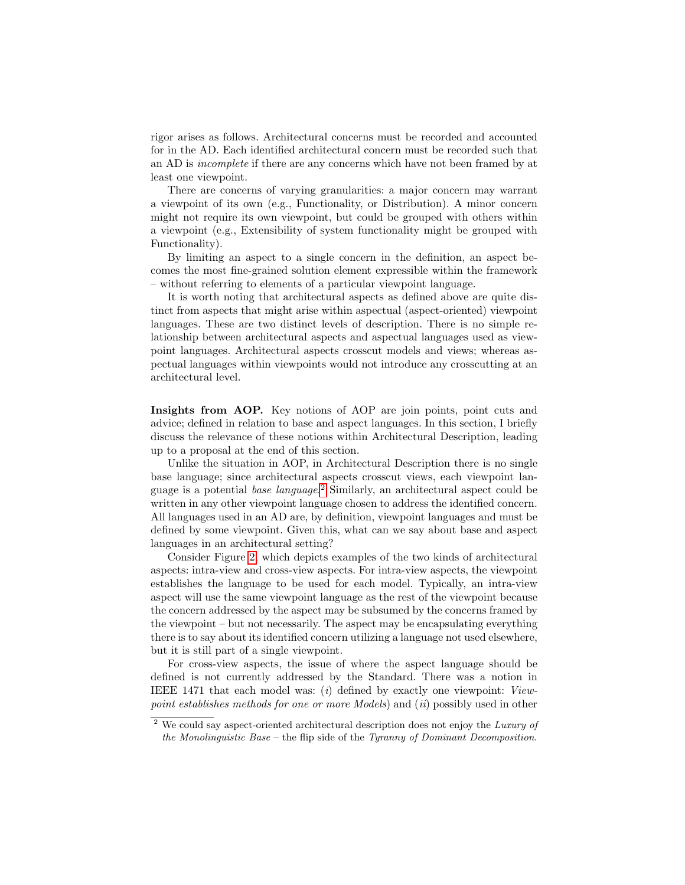rigor arises as follows. Architectural concerns must be recorded and accounted for in the AD. Each identified architectural concern must be recorded such that an AD is incomplete if there are any concerns which have not been framed by at least one viewpoint.

There are concerns of varying granularities: a major concern may warrant a viewpoint of its own (e.g., Functionality, or Distribution). A minor concern might not require its own viewpoint, but could be grouped with others within a viewpoint (e.g., Extensibility of system functionality might be grouped with Functionality).

By limiting an aspect to a single concern in the definition, an aspect becomes the most fine-grained solution element expressible within the framework – without referring to elements of a particular viewpoint language.

It is worth noting that architectural aspects as defined above are quite distinct from aspects that might arise within aspectual (aspect-oriented) viewpoint languages. These are two distinct levels of description. There is no simple relationship between architectural aspects and aspectual languages used as viewpoint languages. Architectural aspects crosscut models and views; whereas aspectual languages within viewpoints would not introduce any crosscutting at an architectural level.

Insights from AOP. Key notions of AOP are join points, point cuts and advice; defined in relation to base and aspect languages. In this section, I briefly discuss the relevance of these notions within Architectural Description, leading up to a proposal at the end of this section.

Unlike the situation in AOP, in Architectural Description there is no single base language; since architectural aspects crosscut views, each viewpoint language is a potential base language. [2](#page-8-0) Similarly, an architectural aspect could be written in any other viewpoint language chosen to address the identified concern. All languages used in an AD are, by definition, viewpoint languages and must be defined by some viewpoint. Given this, what can we say about base and aspect languages in an architectural setting?

Consider Figure [2,](#page-9-0) which depicts examples of the two kinds of architectural aspects: intra-view and cross-view aspects. For intra-view aspects, the viewpoint establishes the language to be used for each model. Typically, an intra-view aspect will use the same viewpoint language as the rest of the viewpoint because the concern addressed by the aspect may be subsumed by the concerns framed by the viewpoint – but not necessarily. The aspect may be encapsulating everything there is to say about its identified concern utilizing a language not used elsewhere, but it is still part of a single viewpoint.

For cross-view aspects, the issue of where the aspect language should be defined is not currently addressed by the Standard. There was a notion in IEEE 1471 that each model was: (i) defined by exactly one viewpoint:  $View$ point establishes methods for one or more Models) and *(ii)* possibly used in other

<span id="page-8-0"></span> $2$  We could say aspect-oriented architectural description does not enjoy the Luxury of the Monolinguistic Base – the flip side of the Tyranny of Dominant Decomposition.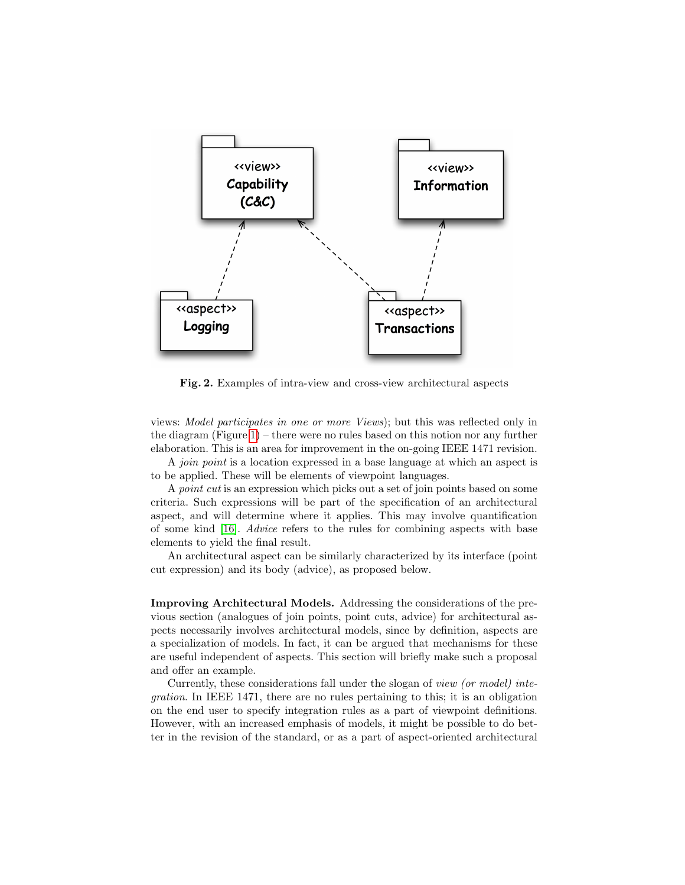

<span id="page-9-0"></span>Fig. 2. Examples of intra-view and cross-view architectural aspects

views: Model participates in one or more Views); but this was reflected only in the diagram (Figure [1\)](#page-3-0) – there were no rules based on this notion nor any further elaboration. This is an area for improvement in the on-going IEEE 1471 revision.

A join point is a location expressed in a base language at which an aspect is to be applied. These will be elements of viewpoint languages.

A point cut is an expression which picks out a set of join points based on some criteria. Such expressions will be part of the specification of an architectural aspect, and will determine where it applies. This may involve quantification of some kind [\[16\]](#page-15-11). Advice refers to the rules for combining aspects with base elements to yield the final result.

An architectural aspect can be similarly characterized by its interface (point cut expression) and its body (advice), as proposed below.

Improving Architectural Models. Addressing the considerations of the previous section (analogues of join points, point cuts, advice) for architectural aspects necessarily involves architectural models, since by definition, aspects are a specialization of models. In fact, it can be argued that mechanisms for these are useful independent of aspects. This section will briefly make such a proposal and offer an example.

Currently, these considerations fall under the slogan of view (or model) integration. In IEEE 1471, there are no rules pertaining to this; it is an obligation on the end user to specify integration rules as a part of viewpoint definitions. However, with an increased emphasis of models, it might be possible to do better in the revision of the standard, or as a part of aspect-oriented architectural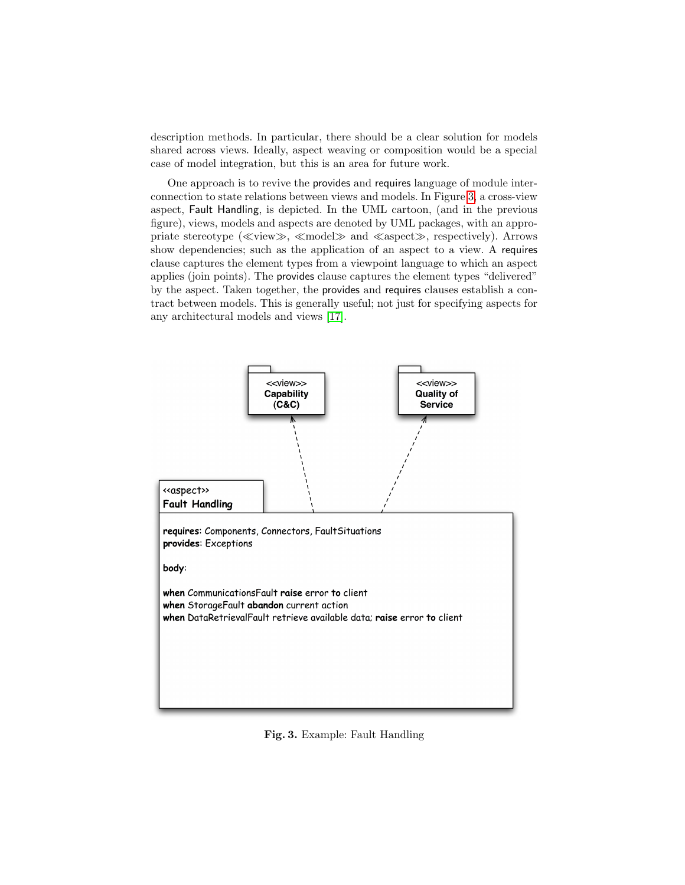description methods. In particular, there should be a clear solution for models shared across views. Ideally, aspect weaving or composition would be a special case of model integration, but this is an area for future work.

One approach is to revive the provides and requires language of module interconnection to state relations between views and models. In Figure [3,](#page-10-0) a cross-view aspect, Fault Handling, is depicted. In the UML cartoon, (and in the previous figure), views, models and aspects are denoted by UML packages, with an appropriate stereotype ( $\ll$ view $\gg$ ,  $\ll$ model $\gg$  and  $\ll$ aspect $\gg$ , respectively). Arrows show dependencies; such as the application of an aspect to a view. A requires clause captures the element types from a viewpoint language to which an aspect applies (join points). The provides clause captures the element types "delivered" by the aspect. Taken together, the provides and requires clauses establish a contract between models. This is generally useful; not just for specifying aspects for any architectural models and views [\[17\]](#page-15-12).



<span id="page-10-0"></span>Fig. 3. Example: Fault Handling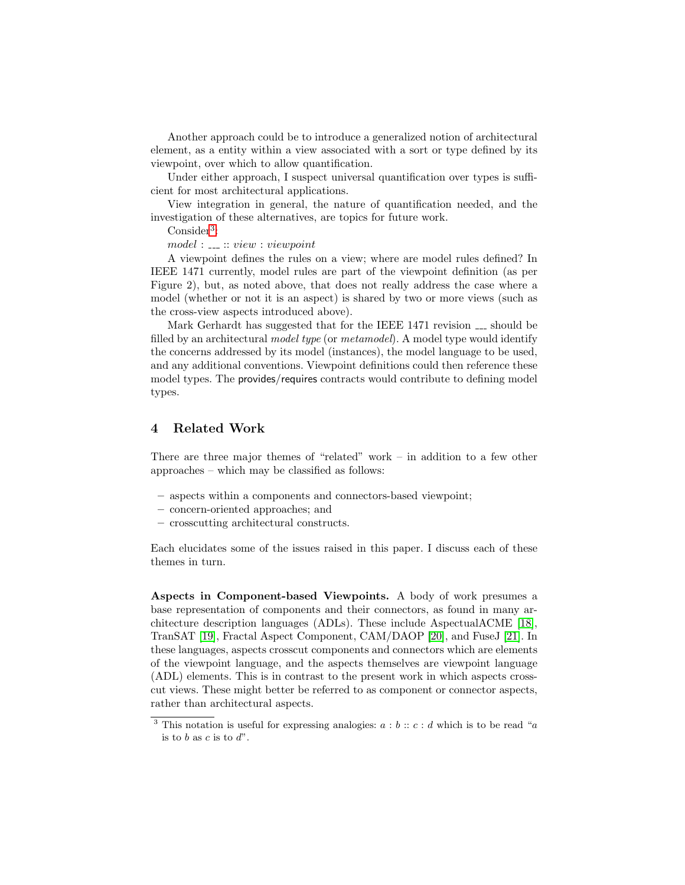Another approach could be to introduce a generalized notion of architectural element, as a entity within a view associated with a sort or type defined by its viewpoint, over which to allow quantification.

Under either approach, I suspect universal quantification over types is sufficient for most architectural applications.

View integration in general, the nature of quantification needed, and the investigation of these alternatives, are topics for future work.

Consider<sup>[3](#page-11-1)</sup>:

 $model: \_\_::view:view$ 

A viewpoint defines the rules on a view; where are model rules defined? In IEEE 1471 currently, model rules are part of the viewpoint definition (as per Figure 2), but, as noted above, that does not really address the case where a model (whether or not it is an aspect) is shared by two or more views (such as the cross-view aspects introduced above).

Mark Gerhardt has suggested that for the IEEE 1471 revision  $\ldots$  should be filled by an architectural model type (or metamodel). A model type would identify the concerns addressed by its model (instances), the model language to be used, and any additional conventions. Viewpoint definitions could then reference these model types. The provides/requires contracts would contribute to defining model types.

### <span id="page-11-0"></span>4 Related Work

There are three major themes of "related" work – in addition to a few other approaches – which may be classified as follows:

- aspects within a components and connectors-based viewpoint;
- concern-oriented approaches; and
- crosscutting architectural constructs.

Each elucidates some of the issues raised in this paper. I discuss each of these themes in turn.

Aspects in Component-based Viewpoints. A body of work presumes a base representation of components and their connectors, as found in many architecture description languages (ADLs). These include AspectualACME [\[18\]](#page-15-13), TranSAT [\[19\]](#page-15-14), Fractal Aspect Component, CAM/DAOP [\[20\]](#page-15-15), and FuseJ [\[21\]](#page-15-16). In these languages, aspects crosscut components and connectors which are elements of the viewpoint language, and the aspects themselves are viewpoint language (ADL) elements. This is in contrast to the present work in which aspects crosscut views. These might better be referred to as component or connector aspects, rather than architectural aspects.

<span id="page-11-1"></span><sup>&</sup>lt;sup>3</sup> This notation is useful for expressing analogies:  $a:b:: c:d$  which is to be read "a is to  $b$  as  $c$  is to  $d$ ".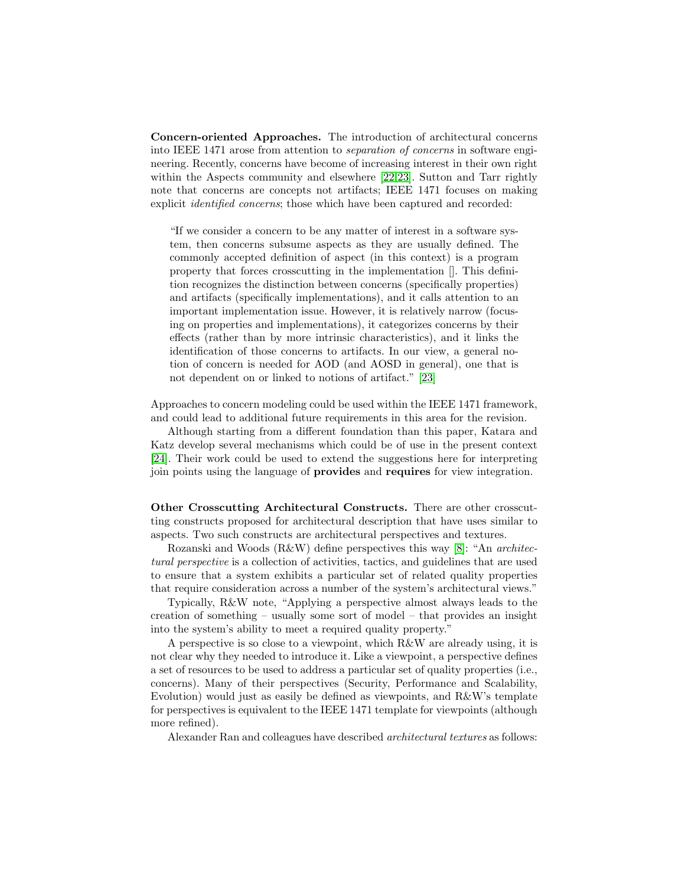Concern-oriented Approaches. The introduction of architectural concerns into IEEE 1471 arose from attention to separation of concerns in software engineering. Recently, concerns have become of increasing interest in their own right within the Aspects community and elsewhere [\[22,](#page-15-17)[23\]](#page-16-0). Sutton and Tarr rightly note that concerns are concepts not artifacts; IEEE 1471 focuses on making explicit identified concerns; those which have been captured and recorded:

"If we consider a concern to be any matter of interest in a software system, then concerns subsume aspects as they are usually defined. The commonly accepted definition of aspect (in this context) is a program property that forces crosscutting in the implementation []. This definition recognizes the distinction between concerns (specifically properties) and artifacts (specifically implementations), and it calls attention to an important implementation issue. However, it is relatively narrow (focusing on properties and implementations), it categorizes concerns by their effects (rather than by more intrinsic characteristics), and it links the identification of those concerns to artifacts. In our view, a general notion of concern is needed for AOD (and AOSD in general), one that is not dependent on or linked to notions of artifact." [\[23\]](#page-16-0)

Approaches to concern modeling could be used within the IEEE 1471 framework, and could lead to additional future requirements in this area for the revision.

Although starting from a different foundation than this paper, Katara and Katz develop several mechanisms which could be of use in the present context [\[24\]](#page-16-1). Their work could be used to extend the suggestions here for interpreting join points using the language of provides and requires for view integration.

Other Crosscutting Architectural Constructs. There are other crosscutting constructs proposed for architectural description that have uses similar to aspects. Two such constructs are architectural perspectives and textures.

Rozanski and Woods (R&W) define perspectives this way [\[8\]](#page-15-3): "An architectural perspective is a collection of activities, tactics, and guidelines that are used to ensure that a system exhibits a particular set of related quality properties that require consideration across a number of the system's architectural views."

Typically, R&W note, "Applying a perspective almost always leads to the creation of something – usually some sort of model – that provides an insight into the system's ability to meet a required quality property."

A perspective is so close to a viewpoint, which R&W are already using, it is not clear why they needed to introduce it. Like a viewpoint, a perspective defines a set of resources to be used to address a particular set of quality properties (i.e., concerns). Many of their perspectives (Security, Performance and Scalability, Evolution) would just as easily be defined as viewpoints, and R&W's template for perspectives is equivalent to the IEEE 1471 template for viewpoints (although more refined).

Alexander Ran and colleagues have described architectural textures as follows: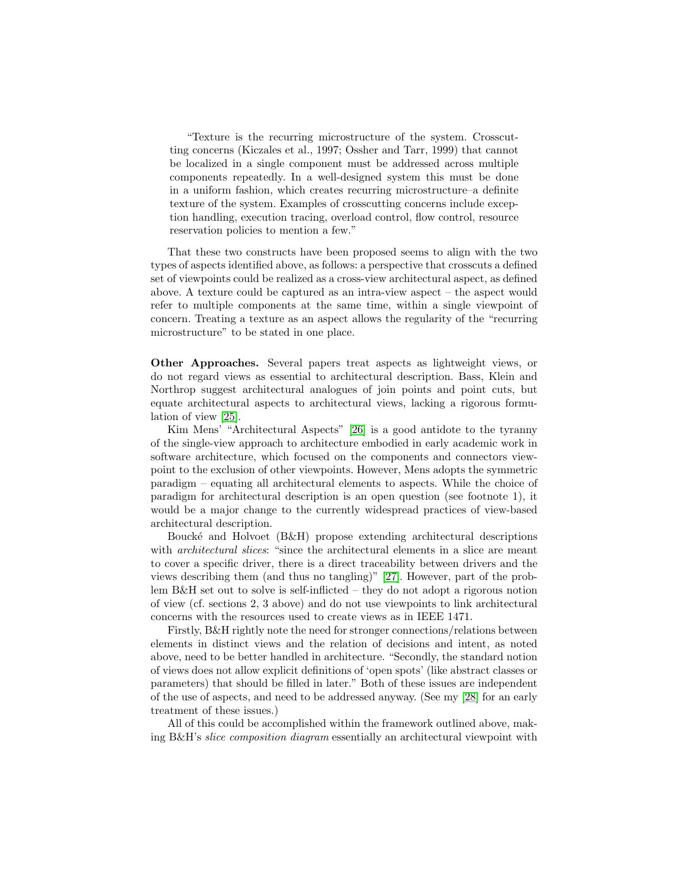"Texture is the recurring microstructure of the system. Crosscutting concerns (Kiczales et al., 1997; Ossher and Tarr, 1999) that cannot be localized in a single component must be addressed across multiple components repeatedly. In a well-designed system this must be done in a uniform fashion, which creates recurring microstructure–a definite texture of the system. Examples of crosscutting concerns include exception handling, execution tracing, overload control, flow control, resource reservation policies to mention a few."

That these two constructs have been proposed seems to align with the two types of aspects identified above, as follows: a perspective that crosscuts a defined set of viewpoints could be realized as a cross-view architectural aspect, as defined above. A texture could be captured as an intra-view aspect – the aspect would refer to multiple components at the same time, within a single viewpoint of concern. Treating a texture as an aspect allows the regularity of the "recurring microstructure" to be stated in one place.

Other Approaches. Several papers treat aspects as lightweight views, or do not regard views as essential to architectural description. Bass, Klein and Northrop suggest architectural analogues of join points and point cuts, but equate architectural aspects to architectural views, lacking a rigorous formulation of view [\[25\]](#page-16-2).

Kim Mens' "Architectural Aspects" [\[26\]](#page-16-3) is a good antidote to the tyranny of the single-view approach to architecture embodied in early academic work in software architecture, which focused on the components and connectors viewpoint to the exclusion of other viewpoints. However, Mens adopts the symmetric paradigm – equating all architectural elements to aspects. While the choice of paradigm for architectural description is an open question (see footnote 1), it would be a major change to the currently widespread practices of view-based architectural description.

Bouck´e and Holvoet (B&H) propose extending architectural descriptions with *architectural slices*: "since the architectural elements in a slice are meant to cover a specific driver, there is a direct traceability between drivers and the views describing them (and thus no tangling)" [\[27\]](#page-16-4). However, part of the problem B&H set out to solve is self-inflicted – they do not adopt a rigorous notion of view (cf. sections 2, 3 above) and do not use viewpoints to link architectural concerns with the resources used to create views as in IEEE 1471.

Firstly, B&H rightly note the need for stronger connections/relations between elements in distinct views and the relation of decisions and intent, as noted above, need to be better handled in architecture. "Secondly, the standard notion of views does not allow explicit definitions of 'open spots' (like abstract classes or parameters) that should be filled in later." Both of these issues are independent of the use of aspects, and need to be addressed anyway. (See my [\[28\]](#page-16-5) for an early treatment of these issues.)

All of this could be accomplished within the framework outlined above, making B&H's slice composition diagram essentially an architectural viewpoint with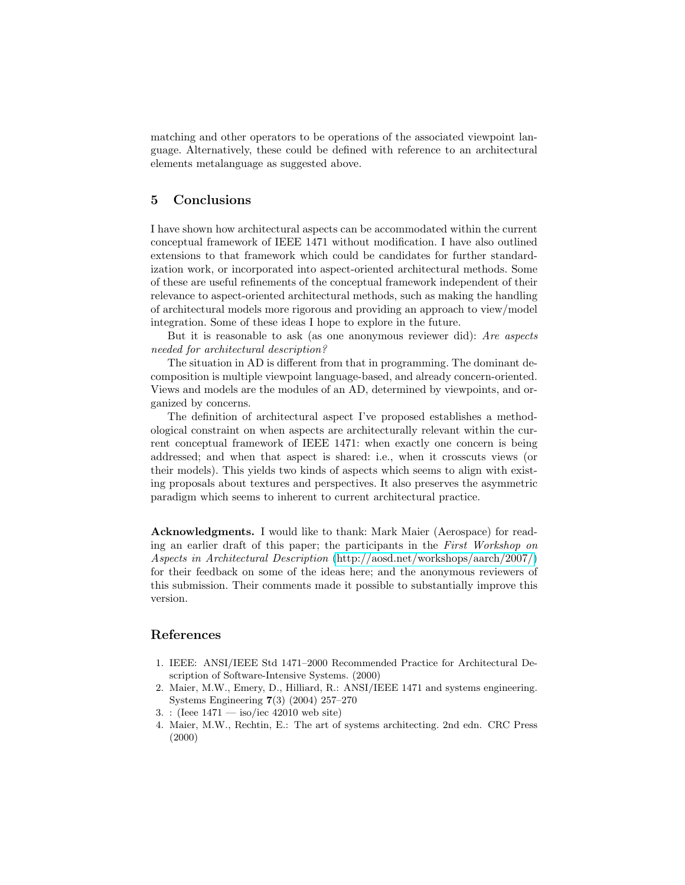matching and other operators to be operations of the associated viewpoint language. Alternatively, these could be defined with reference to an architectural elements metalanguage as suggested above.

# 5 Conclusions

I have shown how architectural aspects can be accommodated within the current conceptual framework of IEEE 1471 without modification. I have also outlined extensions to that framework which could be candidates for further standardization work, or incorporated into aspect-oriented architectural methods. Some of these are useful refinements of the conceptual framework independent of their relevance to aspect-oriented architectural methods, such as making the handling of architectural models more rigorous and providing an approach to view/model integration. Some of these ideas I hope to explore in the future.

But it is reasonable to ask (as one anonymous reviewer did): Are aspects needed for architectural description?

The situation in AD is different from that in programming. The dominant decomposition is multiple viewpoint language-based, and already concern-oriented. Views and models are the modules of an AD, determined by viewpoints, and organized by concerns.

The definition of architectural aspect I've proposed establishes a methodological constraint on when aspects are architecturally relevant within the current conceptual framework of IEEE 1471: when exactly one concern is being addressed; and when that aspect is shared: i.e., when it crosscuts views (or their models). This yields two kinds of aspects which seems to align with existing proposals about textures and perspectives. It also preserves the asymmetric paradigm which seems to inherent to current architectural practice.

Acknowledgments. I would like to thank: Mark Maier (Aerospace) for reading an earlier draft of this paper; the participants in the First Workshop on Aspects in Architectural Description [\(http://aosd.net/workshops/aarch/2007/\)](http://aosd.net/workshops/aarch/2007/) for their feedback on some of the ideas here; and the anonymous reviewers of this submission. Their comments made it possible to substantially improve this version.

# References

- <span id="page-14-0"></span>1. IEEE: ANSI/IEEE Std 1471–2000 Recommended Practice for Architectural Description of Software-Intensive Systems. (2000)
- <span id="page-14-1"></span>2. Maier, M.W., Emery, D., Hilliard, R.: ANSI/IEEE 1471 and systems engineering. Systems Engineering 7(3) (2004) 257–270
- 3. : (Ieee  $1471 -$  iso/iec  $42010$  web site)
- <span id="page-14-2"></span>4. Maier, M.W., Rechtin, E.: The art of systems architecting. 2nd edn. CRC Press (2000)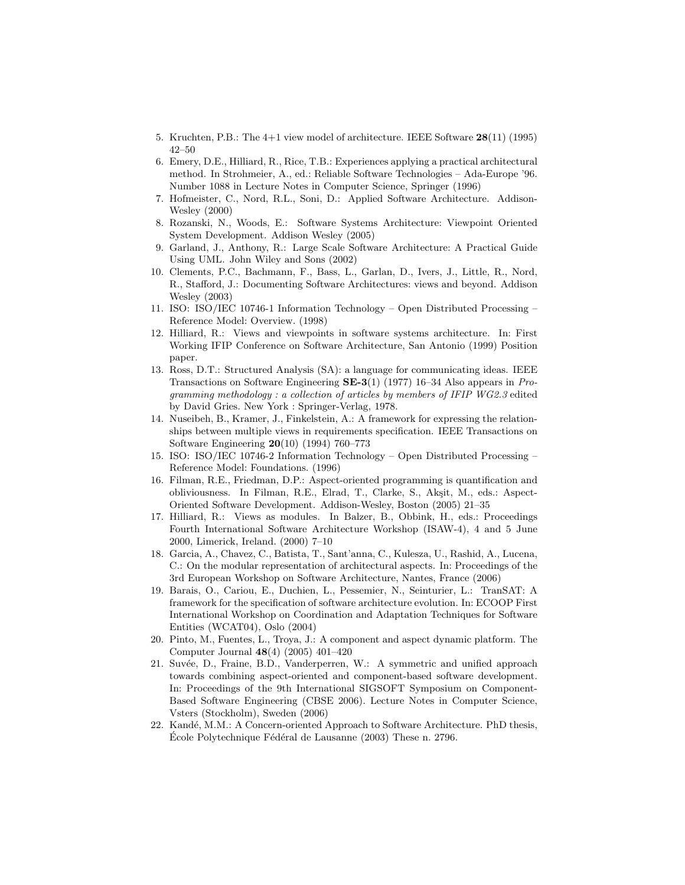- <span id="page-15-0"></span>5. Kruchten, P.B.: The 4+1 view model of architecture. IEEE Software 28(11) (1995) 42–50
- <span id="page-15-1"></span>6. Emery, D.E., Hilliard, R., Rice, T.B.: Experiences applying a practical architectural method. In Strohmeier, A., ed.: Reliable Software Technologies – Ada-Europe '96. Number 1088 in Lecture Notes in Computer Science, Springer (1996)
- <span id="page-15-2"></span>7. Hofmeister, C., Nord, R.L., Soni, D.: Applied Software Architecture. Addison-Wesley (2000)
- <span id="page-15-3"></span>8. Rozanski, N., Woods, E.: Software Systems Architecture: Viewpoint Oriented System Development. Addison Wesley (2005)
- <span id="page-15-4"></span>9. Garland, J., Anthony, R.: Large Scale Software Architecture: A Practical Guide Using UML. John Wiley and Sons (2002)
- <span id="page-15-5"></span>10. Clements, P.C., Bachmann, F., Bass, L., Garlan, D., Ivers, J., Little, R., Nord, R., Stafford, J.: Documenting Software Architectures: views and beyond. Addison Wesley (2003)
- <span id="page-15-6"></span>11. ISO: ISO/IEC 10746-1 Information Technology – Open Distributed Processing – Reference Model: Overview. (1998)
- <span id="page-15-7"></span>12. Hilliard, R.: Views and viewpoints in software systems architecture. In: First Working IFIP Conference on Software Architecture, San Antonio (1999) Position paper.
- <span id="page-15-8"></span>13. Ross, D.T.: Structured Analysis (SA): a language for communicating ideas. IEEE Transactions on Software Engineering SE-3(1) (1977) 16–34 Also appears in Programming methodology : a collection of articles by members of IFIP WG2.3 edited by David Gries. New York : Springer-Verlag, 1978.
- <span id="page-15-9"></span>14. Nuseibeh, B., Kramer, J., Finkelstein, A.: A framework for expressing the relationships between multiple views in requirements specification. IEEE Transactions on Software Engineering 20(10) (1994) 760–773
- <span id="page-15-10"></span>15. ISO: ISO/IEC 10746-2 Information Technology – Open Distributed Processing – Reference Model: Foundations. (1996)
- <span id="page-15-11"></span>16. Filman, R.E., Friedman, D.P.: Aspect-oriented programming is quantification and obliviousness. In Filman, R.E., Elrad, T., Clarke, S., Akşit, M., eds.: Aspect-Oriented Software Development. Addison-Wesley, Boston (2005) 21–35
- <span id="page-15-12"></span>17. Hilliard, R.: Views as modules. In Balzer, B., Obbink, H., eds.: Proceedings Fourth International Software Architecture Workshop (ISAW-4), 4 and 5 June 2000, Limerick, Ireland. (2000) 7–10
- <span id="page-15-13"></span>18. Garcia, A., Chavez, C., Batista, T., Sant'anna, C., Kulesza, U., Rashid, A., Lucena, C.: On the modular representation of architectural aspects. In: Proceedings of the 3rd European Workshop on Software Architecture, Nantes, France (2006)
- <span id="page-15-14"></span>19. Barais, O., Cariou, E., Duchien, L., Pessemier, N., Seinturier, L.: TranSAT: A framework for the specification of software architecture evolution. In: ECOOP First International Workshop on Coordination and Adaptation Techniques for Software Entities (WCAT04), Oslo (2004)
- <span id="page-15-15"></span>20. Pinto, M., Fuentes, L., Troya, J.: A component and aspect dynamic platform. The Computer Journal 48(4) (2005) 401–420
- <span id="page-15-16"></span>21. Suvée, D., Fraine, B.D., Vanderperren, W.: A symmetric and unified approach towards combining aspect-oriented and component-based software development. In: Proceedings of the 9th International SIGSOFT Symposium on Component-Based Software Engineering (CBSE 2006). Lecture Notes in Computer Science, Vsters (Stockholm), Sweden (2006)
- <span id="page-15-17"></span>22. Kandé, M.M.: A Concern-oriented Approach to Software Architecture. PhD thesis, École Polytechnique Fédéral de Lausanne (2003) These n. 2796.